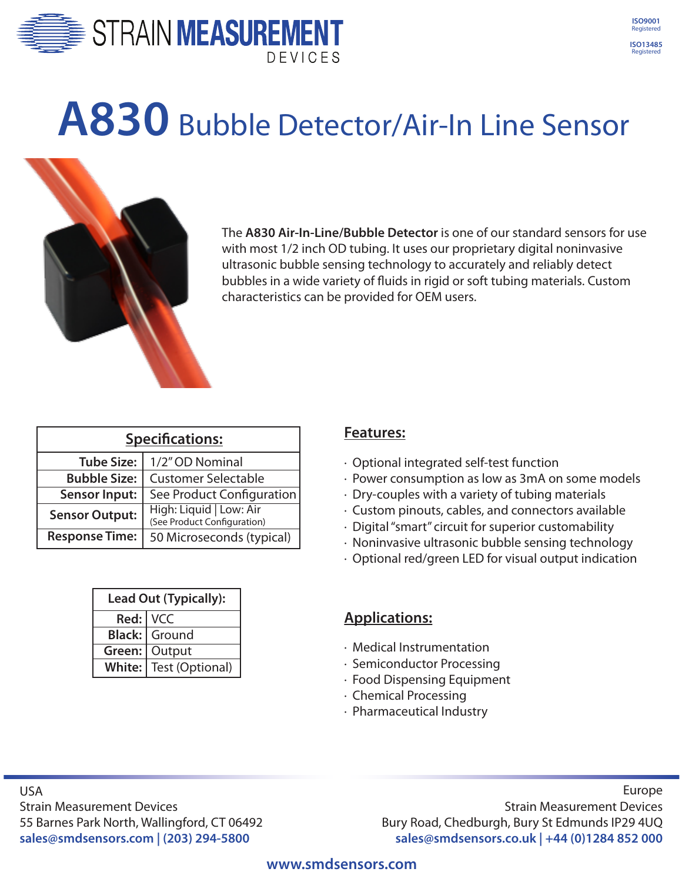



## **A830** Bubble Detector/Air-In Line Sensor



The **A830 Air-In-Line/Bubble Detector** is one of our standard sensors for use with most 1/2 inch OD tubing. It uses our proprietary digital noninvasive ultrasonic bubble sensing technology to accurately and reliably detect bubbles in a wide variety of fluids in rigid or soft tubing materials. Custom characteristics can be provided for OEM users.

| <b>Specifications:</b> |                                                        |
|------------------------|--------------------------------------------------------|
| <b>Tube Size:</b>      | 1/2" OD Nominal                                        |
| <b>Bubble Size:</b>    | <b>Customer Selectable</b>                             |
| <b>Sensor Input:</b>   | See Product Configuration                              |
| <b>Sensor Output:</b>  | High: Liquid   Low: Air<br>(See Product Configuration) |
| <b>Response Time:</b>  | 50 Microseconds (typical)                              |

| <b>Lead Out (Typically):</b> |                        |
|------------------------------|------------------------|
| Red:   VCC                   |                        |
|                              | <b>Black: Ground</b>   |
|                              | Green: Output          |
|                              | White: Test (Optional) |

## **Features:**

- · Optional integrated self-test function
- · Power consumption as low as 3mA on some models
- · Dry-couples with a variety of tubing materials
- · Custom pinouts, cables, and connectors available
- · Digital "smart" circuit for superior customability
- · Noninvasive ultrasonic bubble sensing technology
- · Optional red/green LED for visual output indication

## **Applications:**

- · Medical Instrumentation
- · Semiconductor Processing
- · Food Dispensing Equipment
- · Chemical Processing
- · Pharmaceutical Industry

USA Strain Measurement Devices 55 Barnes Park North, Wallingford, CT 06492 **sales@smdsensors.com | (203) 294-5800**

Europe Strain Measurement Devices Bury Road, Chedburgh, Bury St Edmunds IP29 4UQ **sales@smdsensors.co.uk | +44 (0)1284 852 000**